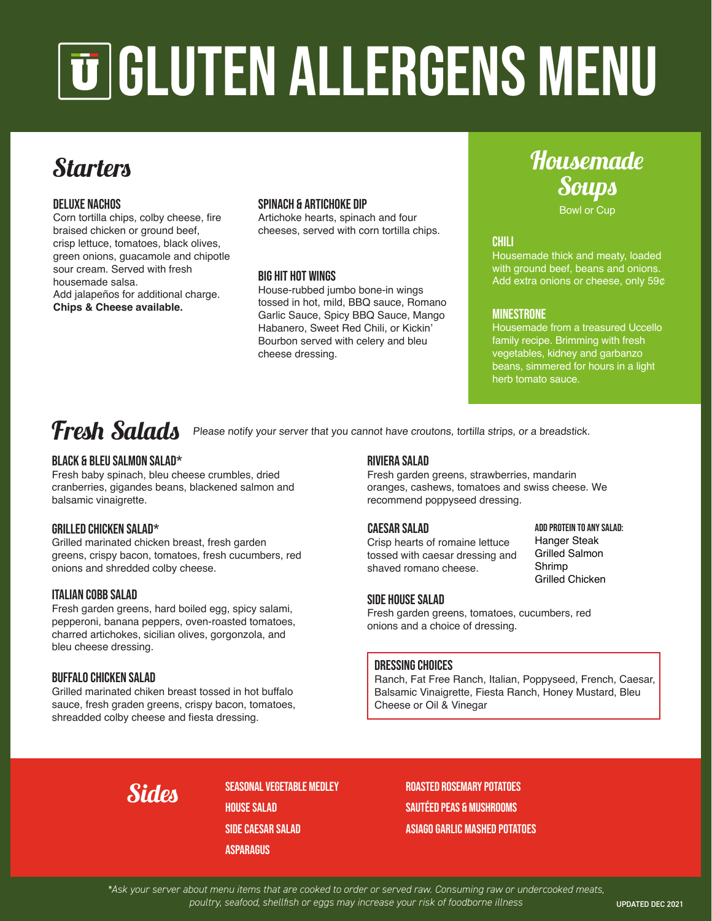# GLUTEN ALLERGENS MENU

## **Starters**

#### DELUXE nachos

Corn tortilla chips, colby cheese, fire braised chicken or ground beef, crisp lettuce, tomatoes, black olives, green onions, guacamole and chipotle sour cream. Served with fresh housemade salsa. Add jalapeños for additional charge.

**Chips & Cheese available.**

#### SPINACH & ARTICHOKE DIP

Artichoke hearts, spinach and four cheeses, served with corn tortilla chips.

#### BIG HIT HOT WINGS

House-rubbed jumbo bone-in wings tossed in hot, mild, BBQ sauce, Romano Garlic Sauce, Spicy BBQ Sauce, Mango Habanero, Sweet Red Chili, or Kickin' Bourbon served with celery and bleu cheese dressing.

## Housemade **Soups**

Bowl or Cup

#### CHILI

Housemade thick and meaty, loaded with ground beef, beans and onions. Add extra onions or cheese, only 59¢

#### **MINESTRONE**

Housemade from a treasured Uccello family recipe. Brimming with fresh vegetables, kidney and garbanzo beans, simmered for hours in a light herb tomato sauce.

### Fresh Salads Please notify your server that you cannot have croutons, tortilla strips, or a breadstick.

#### BLACK & BLEU SALMON SALAD\*

Fresh baby spinach, bleu cheese crumbles, dried cranberries, gigandes beans, blackened salmon and balsamic vinaigrette.

#### GRILLED CHICKEN SALAD\*

Grilled marinated chicken breast, fresh garden greens, crispy bacon, tomatoes, fresh cucumbers, red onions and shredded colby cheese.

#### ITALIAN COBB SALAD

Fresh garden greens, hard boiled egg, spicy salami, pepperoni, banana peppers, oven-roasted tomatoes, charred artichokes, sicilian olives, gorgonzola, and bleu cheese dressing.

#### BUFFALO CHICKEN SALAD

Grilled marinated chiken breast tossed in hot buffalo sauce, fresh graden greens, crispy bacon, tomatoes, shreadded colby cheese and fiesta dressing.

#### RIVIERA SALAD

Fresh garden greens, strawberries, mandarin oranges, cashews, tomatoes and swiss cheese. We recommend poppyseed dressing.

Crisp hearts of romaine lettuce tossed with caesar dressing and shaved romano cheese.

CAESAR SALAD ADD PROTEIN TO ANY SALAD: Hanger Steak Grilled Salmon Shrimp Grilled Chicken

#### SIDE house salad

Fresh garden greens, tomatoes, cucumbers, red onions and a choice of dressing.

#### dressing choices

Ranch, Fat Free Ranch, Italian, Poppyseed, French, Caesar, Balsamic Vinaigrette, Fiesta Ranch, Honey Mustard, Bleu Cheese or Oil & Vinegar

SEASONAL VEGETABLE MEDLEY HOUSE SALAD SIDE CAESAR SALAD **ASPARAGUS** 

Roasted rosemary Potatoes sautéed peas & mushrooms ASIAGO GARLIC MASHED POTATOES

*\*Ask your server about menu items that are cooked to order or served raw. Consuming raw or undercooked meats,*  poultry, seafood, shellfish or eggs may increase your risk of foodborne illness **UPDATED DEC 2021**